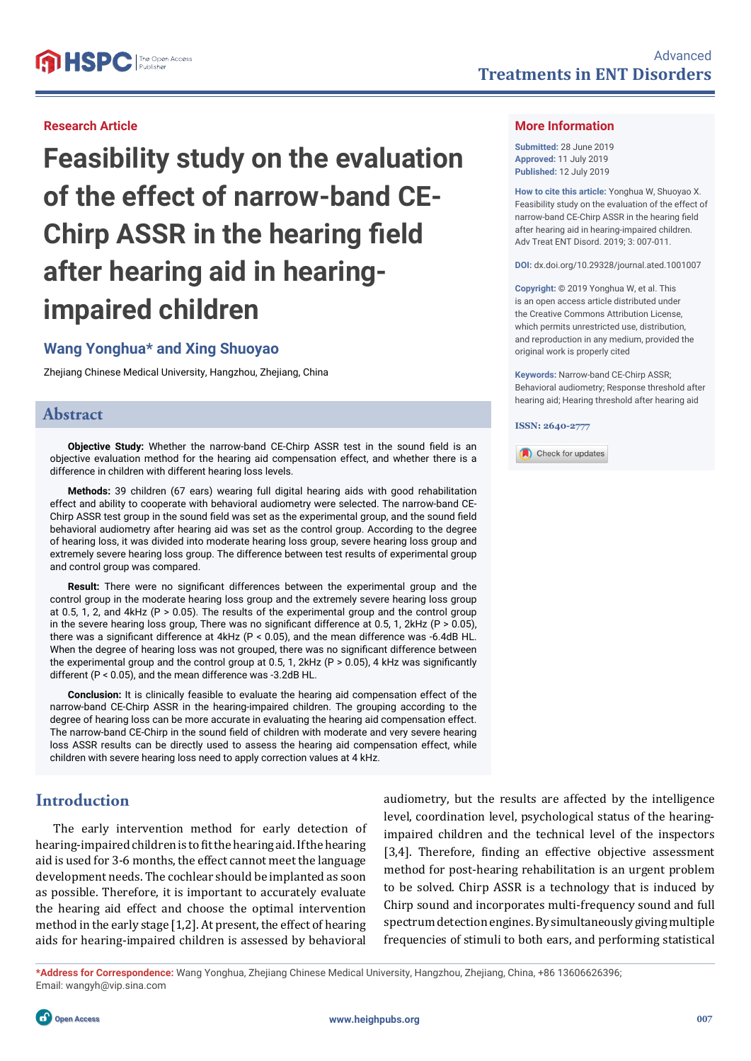#### **Research Article**

**Feasibility study on the evaluation of the effect of narrow-band CE-Chirp ASSR in the hearing field after hearing aid in hearingimpaired children**

# **Wang Yonghua\* and Xing Shuoyao**

Zhejiang Chinese Medical University, Hangzhou, Zhejiang, China

### **Abstract**

**Objective Study:** Whether the narrow-band CE-Chirp ASSR test in the sound field is an objective evaluation method for the hearing aid compensation effect, and whether there is a difference in children with different hearing loss levels.

**Methods:** 39 children (67 ears) wearing full digital hearing aids with good rehabilitation effect and ability to cooperate with behavioral audiometry were selected. The narrow-band CE-Chirp ASSR test group in the sound field was set as the experimental group, and the sound field behavioral audiometry after hearing aid was set as the control group. According to the degree of hearing loss, it was divided into moderate hearing loss group, severe hearing loss group and extremely severe hearing loss group. The difference between test results of experimental group and control group was compared.

**Result:** There were no significant differences between the experimental group and the control group in the moderate hearing loss group and the extremely severe hearing loss group at 0.5, 1, 2, and  $4kHz$  (P > 0.05). The results of the experimental group and the control group in the severe hearing loss group, There was no significant difference at 0.5, 1, 2kHz ( $P > 0.05$ ), there was a significant difference at 4kHz ( $P < 0.05$ ), and the mean difference was -6.4dB HL. When the degree of hearing loss was not grouped, there was no significant difference between the experimental group and the control group at 0.5, 1, 2kHz (P  $>$  0.05), 4 kHz was significantly different (P < 0.05), and the mean difference was -3.2dB HL.

**Conclusion:** It is clinically feasible to evaluate the hearing aid compensation effect of the narrow-band CE-Chirp ASSR in the hearing-impaired children. The grouping according to the degree of hearing loss can be more accurate in evaluating the hearing aid compensation effect. The narrow-band CE-Chirp in the sound field of children with moderate and very severe hearing loss ASSR results can be directly used to assess the hearing aid compensation effect, while children with severe hearing loss need to apply correction values at 4 kHz.

# **Introduction**

The early intervention method for early detection of hearing-impaired children is to fit the hearing aid. If the hearing aid is used for 3-6 months, the effect cannot meet the language development needs. The cochlear should be implanted as soon as possible. Therefore, it is important to accurately evaluate the hearing aid effect and choose the optimal intervention method in the early stage [1,2]. At present, the effect of hearing aids for hearing-impaired children is assessed by behavioral

audiometry, but the results are affected by the intelligence level, coordination level, psychological status of the hearingimpaired children and the technical level of the inspectors [3,4]. Therefore, finding an effective objective assessment method for post-hearing rehabilitation is an urgent problem to be solved. Chirp ASSR is a technology that is induced by Chirp sound and incorporates multi-frequency sound and full spectrum detection engines. By simultaneously giving multiple frequencies of stimuli to both ears, and performing statistical

**\*Address for Correspondence:** Wang Yonghua, Zhejiang Chinese Medical University, Hangzhou, Zhejiang, China, +86 13606626396; Email: wangyh@vip.sina.com

### **More Information**

**Submitted:** 28 June 2019 **Approved:** 11 July 2019 **Published:** 12 July 2019

**How to cite this article:** Yonghua W, Shuoyao X. Feasibility study on the evaluation of the effect of narrow-band CE-Chirp ASSR in the hearing field after hearing aid in hearing-impaired children. Adv Treat ENT Disord. 2019; 3: 007-011.

**DOI:** dx.doi.org/10.29328/journal.ated.1001007

**Copyright: ©** 2019 Yonghua W, et al. This is an open access article distributed under the Creative Commons Attribution License, which permits unrestricted use, distribution, and reproduction in any medium, provided the original work is properly cited

**Keywords:** Narrow-band CE-Chirp ASSR; Behavioral audiometry; Response threshold after hearing aid; Hearing threshold after hearing aid

**ISSN: 2640-2777**

Check for updates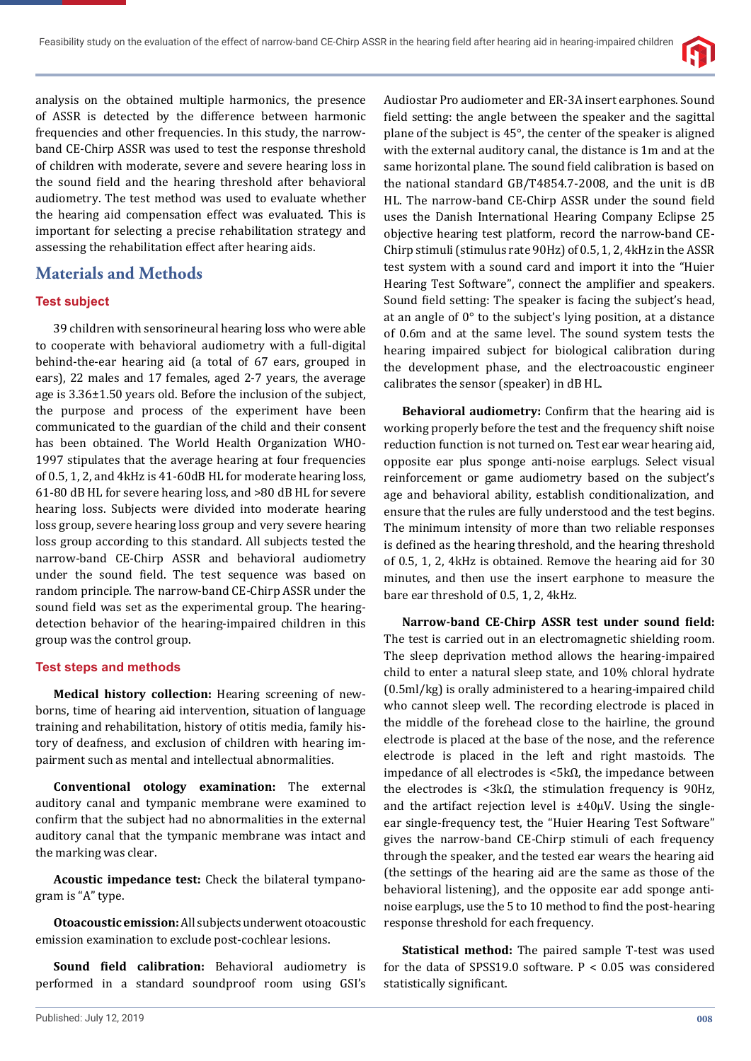

analysis on the obtained multiple harmonics, the presence of ASSR is detected by the difference between harmonic frequencies and other frequencies. In this study, the narrowband CE-Chirp ASSR was used to test the response threshold of children with moderate, severe and severe hearing loss in the sound field and the hearing threshold after behavioral audiometry. The test method was used to evaluate whether the hearing aid compensation effect was evaluated. This is important for selecting a precise rehabilitation strategy and assessing the rehabilitation effect after hearing aids.

# **Materials and Methods**

#### **Test subject**

39 children with sensorineural hearing loss who were able to cooperate with behavioral audiometry with a full-digital behind-the-ear hearing aid (a total of 67 ears, grouped in ears), 22 males and 17 females, aged 2-7 years, the average age is 3.36±1.50 years old. Before the inclusion of the subject, the purpose and process of the experiment have been communicated to the guardian of the child and their consent has been obtained. The World Health Organization WHO-1997 stipulates that the average hearing at four frequencies of 0.5, 1, 2, and 4kHz is 41-60dB HL for moderate hearing loss, 61-80 dB HL for severe hearing loss, and >80 dB HL for severe hearing loss. Subjects were divided into moderate hearing loss group, severe hearing loss group and very severe hearing loss group according to this standard. All subjects tested the narrow-band CE-Chirp ASSR and behavioral audiometry under the sound field. The test sequence was based on random principle. The narrow-band CE-Chirp ASSR under the sound field was set as the experimental group. The hearingdetection behavior of the hearing-impaired children in this group was the control group.

#### **Test steps and methods**

**Medical history collection:** Hearing screening of newborns, time of hearing aid intervention, situation of language training and rehabilitation, history of otitis media, family history of deafness, and exclusion of children with hearing impairment such as mental and intellectual abnormalities.

**Conventional otology examination:** The external auditory canal and tympanic membrane were examined to confirm that the subject had no abnormalities in the external auditory canal that the tympanic membrane was intact and the marking was clear.

**Acoustic impedance test:** Check the bilateral tympanogram is "A" type.

**Otoacoustic emission:** All subjects underwent otoacoustic emission examination to exclude post-cochlear lesions.

**Sound field calibration:** Behavioral audiometry is performed in a standard soundproof room using GSI's

Audiostar Pro audiometer and ER-3A insert earphones. Sound field setting: the angle between the speaker and the sagittal plane of the subject is 45°, the center of the speaker is aligned with the external auditory canal, the distance is 1m and at the same horizontal plane. The sound field calibration is based on the national standard GB/T4854.7-2008, and the unit is dB HL. The narrow-band CE-Chirp ASSR under the sound field uses the Danish International Hearing Company Eclipse 25 objective hearing test platform, record the narrow-band CE-Chirp stimuli (stimulus rate 90Hz) of 0.5, 1, 2, 4kHz in the ASSR test system with a sound card and import it into the "Huier Hearing Test Software", connect the amplifier and speakers. Sound field setting: The speaker is facing the subject's head, at an angle of 0° to the subject's lying position, at a distance of 0.6m and at the same level. The sound system tests the hearing impaired subject for biological calibration during the development phase, and the electroacoustic engineer calibrates the sensor (speaker) in dB HL.

**Behavioral audiometry:** Confirm that the hearing aid is working properly before the test and the frequency shift noise reduction function is not turned on. Test ear wear hearing aid, opposite ear plus sponge anti-noise earplugs. Select visual reinforcement or game audiometry based on the subject's age and behavioral ability, establish conditionalization, and ensure that the rules are fully understood and the test begins. The minimum intensity of more than two reliable responses is defined as the hearing threshold, and the hearing threshold of 0.5, 1, 2, 4kHz is obtained. Remove the hearing aid for 30 minutes, and then use the insert earphone to measure the bare ear threshold of 0.5, 1, 2, 4kHz.

**Narrow-band CE-Chirp ASSR test under sound field:** The test is carried out in an electromagnetic shielding room. The sleep deprivation method allows the hearing-impaired child to enter a natural sleep state, and 10% chloral hydrate (0.5ml/kg) is orally administered to a hearing-impaired child who cannot sleep well. The recording electrode is placed in the middle of the forehead close to the hairline, the ground electrode is placed at the base of the nose, and the reference electrode is placed in the left and right mastoids. The impedance of all electrodes is <5kΩ, the impedance between the electrodes is <3kΩ, the stimulation frequency is 90Hz, and the artifact rejection level is  $\pm 40\mu$ V. Using the singleear single-frequency test, the "Huier Hearing Test Software" gives the narrow-band CE-Chirp stimuli of each frequency through the speaker, and the tested ear wears the hearing aid (the settings of the hearing aid are the same as those of the behavioral listening), and the opposite ear add sponge antinoise earplugs, use the 5 to 10 method to find the post-hearing response threshold for each frequency.

**Statistical method:** The paired sample T-test was used for the data of SPSS19.0 software. P < 0.05 was considered statistically significant.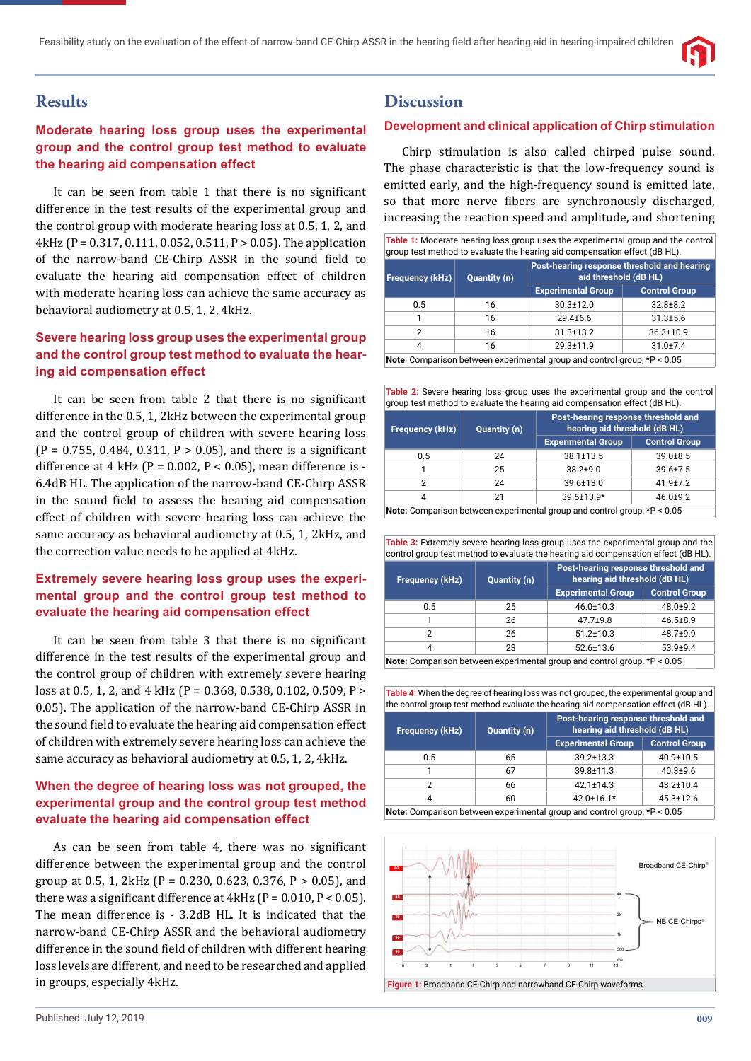

# **Results**

### **Moderate hearing loss group uses the experimental group and the control group test method to evaluate the hearing aid compensation effect**

It can be seen from table 1 that there is no significant difference in the test results of the experimental group and the control group with moderate hearing loss at 0.5, 1, 2, and 4kHz (P = 0.317, 0.111, 0.052, 0.511, P > 0.05). The application of the narrow-band CE-Chirp ASSR in the sound field to evaluate the hearing aid compensation effect of children with moderate hearing loss can achieve the same accuracy as behavioral audiometry at 0.5, 1, 2, 4kHz.

### **Severe hearing loss group uses the experimental group and the control group test method to evaluate the hearing aid compensation effect**

It can be seen from table 2 that there is no significant difference in the 0.5, 1, 2kHz between the experimental group and the control group of children with severe hearing loss  $(P = 0.755, 0.484, 0.311, P > 0.05)$ , and there is a significant difference at 4 kHz ( $P = 0.002$ ,  $P < 0.05$ ), mean difference is -6.4dB HL. The application of the narrow-band CE-Chirp ASSR in the sound field to assess the hearing aid compensation effect of children with severe hearing loss can achieve the same accuracy as behavioral audiometry at 0.5, 1, 2kHz, and the correction value needs to be applied at 4kHz.

### **Extremely severe hearing loss group uses the experimental group and the control group test method to evaluate the hearing aid compensation effect**

It can be seen from table 3 that there is no significant difference in the test results of the experimental group and the control group of children with extremely severe hearing loss at 0.5, 1, 2, and 4 kHz (P = 0.368, 0.538, 0.102, 0.509, P > 0.05). The application of the narrow-band CE-Chirp ASSR in the sound field to evaluate the hearing aid compensation effect of children with extremely severe hearing loss can achieve the same accuracy as behavioral audiometry at 0.5, 1, 2, 4kHz.

### **When the degree of hearing loss was not grouped, the experimental group and the control group test method evaluate the hearing aid compensation effect**

As can be seen from table 4, there was no significant difference between the experimental group and the control group at 0.5, 1, 2kHz (P = 0.230, 0.623, 0.376, P > 0.05), and there was a significant difference at  $4kHz$  (P = 0.010, P < 0.05). The mean difference is - 3.2dB HL. It is indicated that the narrow-band CE-Chirp ASSR and the behavioral audiometry difference in the sound field of children with different hearing loss levels are different, and need to be researched and applied in groups, especially 4kHz.

## **Discussion**

#### **Development and clinical application of Chirp stimulation**

Chirp stimulation is also called chirped pulse sound. The phase characteristic is that the low-frequency sound is emitted early, and the high-frequency sound is emitted late, so that more nerve fibers are synchronously discharged, increasing the reaction speed and amplitude, and shortening

| Table 1: Moderate hearing loss group uses the experimental group and the control<br>group test method to evaluate the hearing aid compensation effect (dB HL). |              |                                                                      |                      |  |
|----------------------------------------------------------------------------------------------------------------------------------------------------------------|--------------|----------------------------------------------------------------------|----------------------|--|
| Frequency (kHz)                                                                                                                                                | Quantity (n) | Post-hearing response threshold and hearing<br>aid threshold (dB HL) |                      |  |
|                                                                                                                                                                |              | <b>Experimental Group</b>                                            | <b>Control Group</b> |  |
| 0.5                                                                                                                                                            | 16           | $30.3 \pm 12.0$                                                      | $32.8 \pm 8.2$       |  |
|                                                                                                                                                                | 16           | $29.4 + 6.6$                                                         | $31.3 \pm 5.6$       |  |
| $\overline{2}$                                                                                                                                                 | 16           | $31.3 \pm 13.2$                                                      | $36.3 \pm 10.9$      |  |
| 4                                                                                                                                                              | 16           | $29.3 \pm 11.9$                                                      | $31.0 + 7.4$         |  |
| <b>Note:</b> Comparison between experimental group and control group, $*P < 0.05$                                                                              |              |                                                                      |                      |  |

**Table 2**: Severe hearing loss group uses the experimental group and the control group test method to evaluate the hearing aid compensation effect (dB HL).

| <b>Frequency (kHz)</b>                                                        | Quantity (n) | Post-hearing response threshold and<br>hearing aid threshold (dB HL) |                      |
|-------------------------------------------------------------------------------|--------------|----------------------------------------------------------------------|----------------------|
|                                                                               |              | <b>Experimental Group</b>                                            | <b>Control Group</b> |
| 0.5                                                                           | 24           | $38.1 \pm 13.5$                                                      | $39.0 + 8.5$         |
|                                                                               | 25           | $38.2 + 9.0$                                                         | $39.6 \pm 7.5$       |
| 2                                                                             | 24           | 39.6±13.0                                                            | $41.9{\pm}7.2$       |
| 4                                                                             | 21           | 39.5±13.9*                                                           | $46.0 + 9.2$         |
| Nets: Composition between oversimental assumend control assume $*D \cdot DDE$ |              |                                                                      |                      |

**Note:** Comparison between experimental group and control group, \*P < 0.05

| <b>Table 3:</b> Extremely severe hearing loss group uses the experimental group and the |  |
|-----------------------------------------------------------------------------------------|--|
| control group test method to evaluate the hearing aid compensation effect (dB HL).      |  |

| Frequency (kHz)                                                                                                                                              | <b>Quantity (n)</b> | Post-hearing response threshold and<br>hearing aid threshold (dB HL) |                      |
|--------------------------------------------------------------------------------------------------------------------------------------------------------------|---------------------|----------------------------------------------------------------------|----------------------|
|                                                                                                                                                              |                     | <b>Experimental Group</b>                                            | <b>Control Group</b> |
| 0.5                                                                                                                                                          | 25                  | $46.0 \pm 10.3$                                                      | $48.0 + 9.2$         |
|                                                                                                                                                              | 26                  | $47.7 + 9.8$                                                         | $46.5 \pm 8.9$       |
| 2                                                                                                                                                            | 26                  | $51.2 \pm 10.3$                                                      | $48.7 + 9.9$         |
| 4                                                                                                                                                            | 23                  | $52.6 \pm 13.6$                                                      | $53.9 + 9.4$         |
| $M_{\odot}$ and $\Delta$ -contracts in the final contract of the second contract of $\Delta$ -contracts $\pm$ $\Delta$ -contracts $\Delta$ $\Delta$ $\Gamma$ |                     |                                                                      |                      |

**Note:** Comparison between experimental group and control group, \*P < 0.05

**Table 4:** When the degree of hearing loss was not grouped, the experimental group and the control group test method evaluate the hearing aid compensation effect (dB HL).

| <b>Frequency (kHz)</b>                                                   | <b>Quantity (n)</b> | Post-hearing response threshold and<br>hearing aid threshold (dB HL) |                      |  |
|--------------------------------------------------------------------------|---------------------|----------------------------------------------------------------------|----------------------|--|
|                                                                          |                     | <b>Experimental Group</b>                                            | <b>Control Group</b> |  |
| 0.5                                                                      | 65                  | $39.2 \pm 13.3$                                                      | 40.9±10.5            |  |
| 1                                                                        | 67                  | 39.8±11.3                                                            | $40.3 + 9.6$         |  |
| 2                                                                        | 66                  | $42.1 \pm 14.3$                                                      | $43.2 \pm 10.4$      |  |
| 4                                                                        | 60                  | 42.0±16.1*                                                           | $45.3 \pm 12.6$      |  |
| Note: Comparison between experimental group and control group, *P < 0.05 |                     |                                                                      |                      |  |

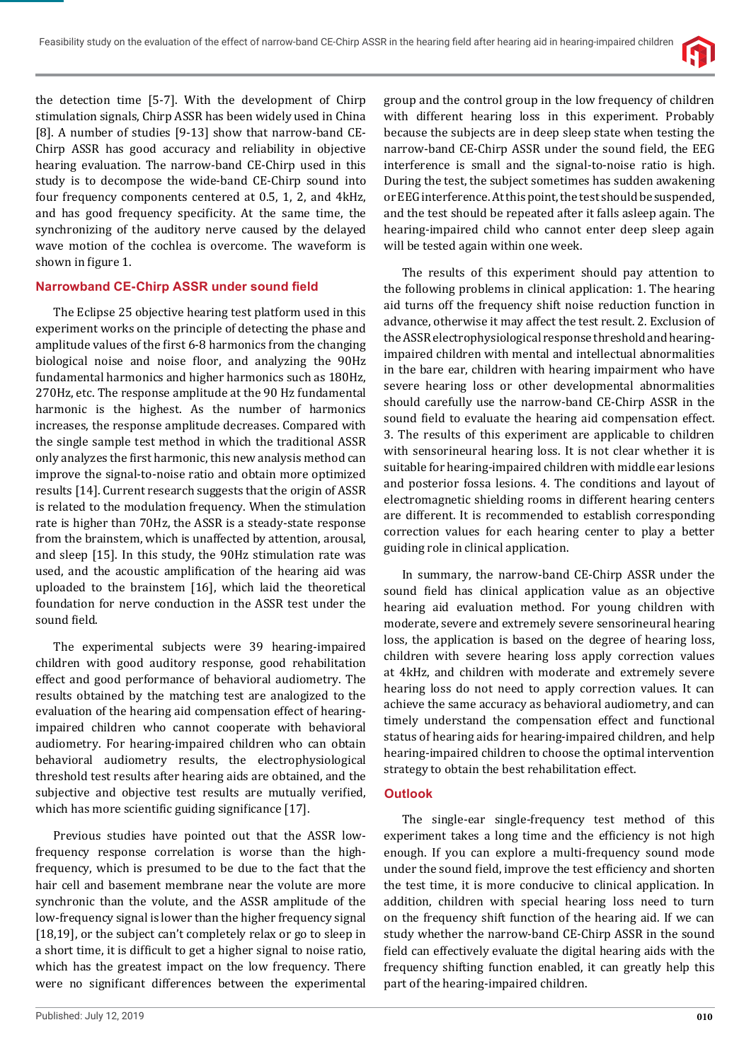

the detection time [5-7]. With the development of Chirp stimulation signals, Chirp ASSR has been widely used in China [8]. A number of studies [9-13] show that narrow-band CE-Chirp ASSR has good accuracy and reliability in objective hearing evaluation. The narrow-band CE-Chirp used in this study is to decompose the wide-band CE-Chirp sound into four frequency components centered at 0.5, 1, 2, and 4kHz, and has good frequency specificity. At the same time, the synchronizing of the auditory nerve caused by the delayed wave motion of the cochlea is overcome. The waveform is shown in figure 1.

#### **Narrowband CE-Chirp ASSR under sound field**

The Eclipse 25 objective hearing test platform used in this experiment works on the principle of detecting the phase and amplitude values of the first 6-8 harmonics from the changing biological noise and noise floor, and analyzing the 90Hz fundamental harmonics and higher harmonics such as 180Hz, 270Hz, etc. The response amplitude at the 90 Hz fundamental harmonic is the highest. As the number of harmonics increases, the response amplitude decreases. Compared with the single sample test method in which the traditional ASSR only analyzes the first harmonic, this new analysis method can improve the signal-to-noise ratio and obtain more optimized results [14]. Current research suggests that the origin of ASSR is related to the modulation frequency. When the stimulation rate is higher than 70Hz, the ASSR is a steady-state response from the brainstem, which is unaffected by attention, arousal, and sleep [15]. In this study, the 90Hz stimulation rate was used, and the acoustic amplification of the hearing aid was uploaded to the brainstem [16], which laid the theoretical foundation for nerve conduction in the ASSR test under the sound field.

The experimental subjects were 39 hearing-impaired children with good auditory response, good rehabilitation effect and good performance of behavioral audiometry. The results obtained by the matching test are analogized to the evaluation of the hearing aid compensation effect of hearingimpaired children who cannot cooperate with behavioral audiometry. For hearing-impaired children who can obtain behavioral audiometry results, the electrophysiological threshold test results after hearing aids are obtained, and the subjective and objective test results are mutually verified, which has more scientific guiding significance  $[17]$ .

Previous studies have pointed out that the ASSR lowfrequency response correlation is worse than the highfrequency, which is presumed to be due to the fact that the hair cell and basement membrane near the volute are more synchronic than the volute, and the ASSR amplitude of the low-frequency signal is lower than the higher frequency signal [18,19], or the subject can't completely relax or go to sleep in a short time, it is difficult to get a higher signal to noise ratio, which has the greatest impact on the low frequency. There were no significant differences between the experimental group and the control group in the low frequency of children with different hearing loss in this experiment. Probably because the subjects are in deep sleep state when testing the narrow-band CE-Chirp ASSR under the sound field, the EEG interference is small and the signal-to-noise ratio is high. During the test, the subject sometimes has sudden awakening or EEG interference. At this point, the test should be suspended, and the test should be repeated after it falls asleep again. The hearing-impaired child who cannot enter deep sleep again will be tested again within one week.

The results of this experiment should pay attention to the following problems in clinical application: 1. The hearing aid turns off the frequency shift noise reduction function in advance, otherwise it may affect the test result. 2. Exclusion of the ASSR electrophysiological response threshold and hearingimpaired children with mental and intellectual abnormalities in the bare ear, children with hearing impairment who have severe hearing loss or other developmental abnormalities should carefully use the narrow-band CE-Chirp ASSR in the sound field to evaluate the hearing aid compensation effect. 3. The results of this experiment are applicable to children with sensorineural hearing loss. It is not clear whether it is suitable for hearing-impaired children with middle ear lesions and posterior fossa lesions. 4. The conditions and layout of electromagnetic shielding rooms in different hearing centers are different. It is recommended to establish corresponding correction values for each hearing center to play a better guiding role in clinical application.

In summary, the narrow-band CE-Chirp ASSR under the sound field has clinical application value as an objective hearing aid evaluation method. For young children with moderate, severe and extremely severe sensorineural hearing loss, the application is based on the degree of hearing loss, children with severe hearing loss apply correction values at 4kHz, and children with moderate and extremely severe hearing loss do not need to apply correction values. It can achieve the same accuracy as behavioral audiometry, and can timely understand the compensation effect and functional status of hearing aids for hearing-impaired children, and help hearing-impaired children to choose the optimal intervention strategy to obtain the best rehabilitation effect.

#### **Outlook**

The single-ear single-frequency test method of this experiment takes a long time and the efficiency is not high enough. If you can explore a multi-frequency sound mode under the sound field, improve the test efficiency and shorten the test time, it is more conducive to clinical application. In addition, children with special hearing loss need to turn on the frequency shift function of the hearing aid. If we can study whether the narrow-band CE-Chirp ASSR in the sound field can effectively evaluate the digital hearing aids with the frequency shifting function enabled, it can greatly help this part of the hearing-impaired children.